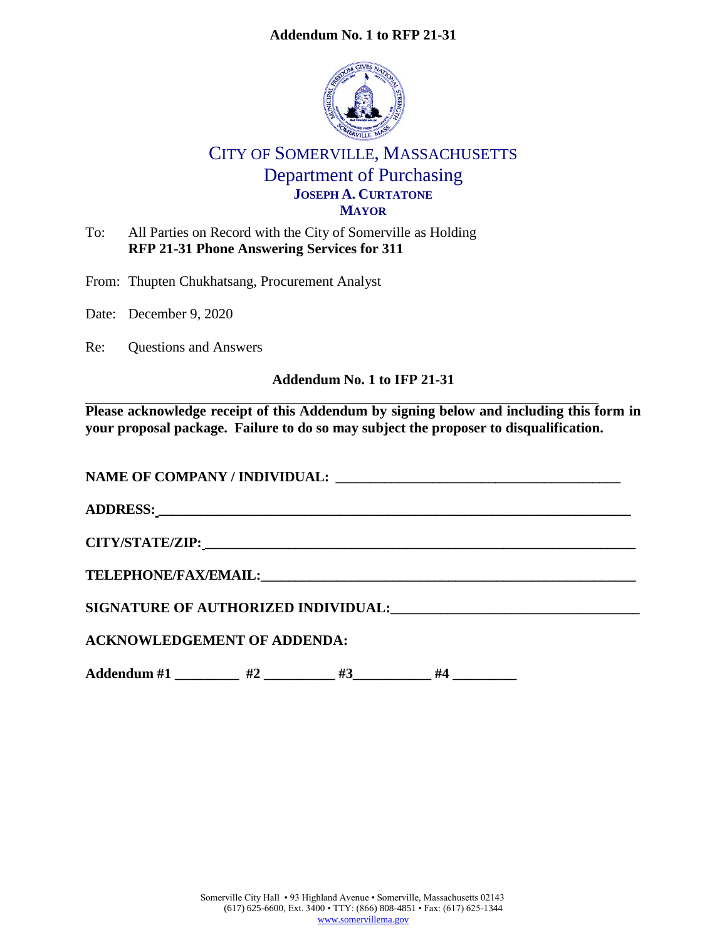# **Addendum No. 1 to RFP 21-31**



# CITY OF SOMERVILLE, MASSACHUSETTS Department of Purchasing **JOSEPH A. CURTATONE MAYOR**

To: All Parties on Record with the City of Somerville as Holding **RFP 21-31 Phone Answering Services for 311**

From: Thupten Chukhatsang, Procurement Analyst

Date: December 9, 2020

Re: Questions and Answers

# **Addendum No. 1 to IFP 21-31**

**Please acknowledge receipt of this Addendum by signing below and including this form in your proposal package. Failure to do so may subject the proposer to disqualification.**

NAME OF COMPANY / INDIVIDUAL:

**ADDRESS: \_\_\_\_\_\_\_\_\_\_\_\_\_\_\_\_\_\_\_\_\_\_\_\_\_\_\_\_\_\_\_\_\_\_\_\_\_\_\_\_\_\_\_\_\_\_\_\_\_\_\_\_\_\_\_\_\_\_\_\_\_\_\_\_\_\_\_\_**

**CITY/STATE/ZIP: \_\_\_\_\_\_\_\_\_\_\_\_\_\_\_\_\_\_\_\_\_\_\_\_\_\_\_\_\_\_\_\_\_\_\_\_\_\_\_\_\_\_\_\_\_\_\_\_\_\_\_\_\_\_\_\_\_\_\_\_\_\_**

 $\bf{TELEPHONE/FAX/EMAIL:}$ 

**SIGNATURE OF AUTHORIZED INDIVIDUAL:** 

**ACKNOWLEDGEMENT OF ADDENDA:**

Addendum #1  $#2$   $#3$   $#4$